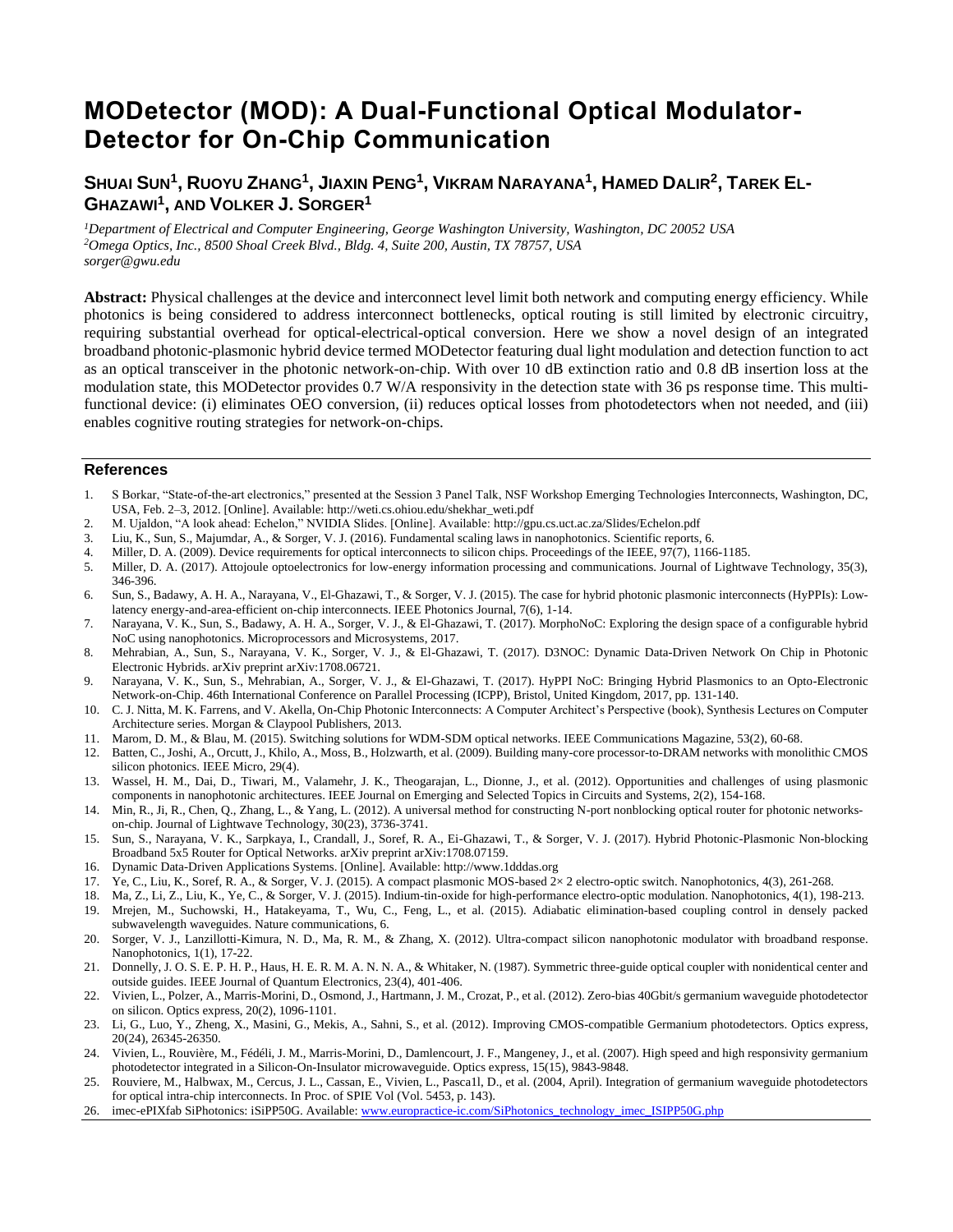# **MODetector (MOD): A Dual-Functional Optical Modulator-Detector for On-Chip Communication**

# ${\sf Sh}$ uai  ${\sf Sun}^1, {\sf RUO}$ yu Zhang $^1,$  Jiaxin Peng $^1,$  Vikram  ${\sf N}$ arayana $^1,$  Hamed Dalir $^2,$  Tarek El-**GHAZAWI<sup>1</sup> , AND VOLKER J. SORGER<sup>1</sup>**

*<sup>1</sup>Department of Electrical and Computer Engineering, George Washington University, Washington, DC 20052 USA <sup>2</sup>Omega Optics, Inc., 8500 Shoal Creek Blvd., Bldg. 4, Suite 200, Austin, TX 78757, USA sorger@gwu.edu*

**Abstract:** Physical challenges at the device and interconnect level limit both network and computing energy efficiency. While photonics is being considered to address interconnect bottlenecks, optical routing is still limited by electronic circuitry, requiring substantial overhead for optical-electrical-optical conversion. Here we show a novel design of an integrated broadband photonic-plasmonic hybrid device termed MODetector featuring dual light modulation and detection function to act as an optical transceiver in the photonic network-on-chip. With over 10 dB extinction ratio and 0.8 dB insertion loss at the modulation state, this MODetector provides 0.7 W/A responsivity in the detection state with 36 ps response time. This multifunctional device: (i) eliminates OEO conversion, (ii) reduces optical losses from photodetectors when not needed, and (iii) enables cognitive routing strategies for network-on-chips.

## **References**

- 1. S Borkar, "State-of-the-art electronics," presented at the Session 3 Panel Talk, NSF Workshop Emerging Technologies Interconnects, Washington, DC, USA, Feb. 2–3, 2012. [Online]. Available: http://weti.cs.ohiou.edu/shekhar\_weti.pdf
- 2. M. Ujaldon, "A look ahead: Echelon," NVIDIA Slides. [Online]. Available: http://gpu.cs.uct.ac.za/Slides/Echelon.pdf
- 3. Liu, K., Sun, S., Majumdar, A., & Sorger, V. J. (2016). Fundamental scaling laws in nanophotonics. Scientific reports, 6.
- 4. Miller, D. A. (2009). Device requirements for optical interconnects to silicon chips. Proceedings of the IEEE, 97(7), 1166-1185.
- 5. Miller, D. A. (2017). Attojoule optoelectronics for low-energy information processing and communications. Journal of Lightwave Technology, 35(3), 346-396.
- 6. Sun, S., Badawy, A. H. A., Narayana, V., El-Ghazawi, T., & Sorger, V. J. (2015). The case for hybrid photonic plasmonic interconnects (HyPPIs): Lowlatency energy-and-area-efficient on-chip interconnects. IEEE Photonics Journal, 7(6), 1-14.
- 7. Narayana, V. K., Sun, S., Badawy, A. H. A., Sorger, V. J., & El-Ghazawi, T. (2017). MorphoNoC: Exploring the design space of a configurable hybrid NoC using nanophotonics. Microprocessors and Microsystems, 2017.
- 8. Mehrabian, A., Sun, S., Narayana, V. K., Sorger, V. J., & El-Ghazawi, T. (2017). D3NOC: Dynamic Data-Driven Network On Chip in Photonic Electronic Hybrids. arXiv preprint arXiv:1708.06721.
- 9. Narayana, V. K., Sun, S., Mehrabian, A., Sorger, V. J., & El-Ghazawi, T. (2017). HyPPI NoC: Bringing Hybrid Plasmonics to an Opto-Electronic Network-on-Chip. 46th International Conference on Parallel Processing (ICPP), Bristol, United Kingdom, 2017, pp. 131-140.
- 10. C. J. Nitta, M. K. Farrens, and V. Akella, On-Chip Photonic Interconnects: A Computer Architect's Perspective (book), Synthesis Lectures on Computer Architecture series. Morgan & Claypool Publishers, 2013.
- 11. Marom, D. M., & Blau, M. (2015). Switching solutions for WDM-SDM optical networks. IEEE Communications Magazine, 53(2), 60-68.
- 12. Batten, C., Joshi, A., Orcutt, J., Khilo, A., Moss, B., Holzwarth, et al. (2009). Building many-core processor-to-DRAM networks with monolithic CMOS silicon photonics. IEEE Micro, 29(4).
- 13. Wassel, H. M., Dai, D., Tiwari, M., Valamehr, J. K., Theogarajan, L., Dionne, J., et al. (2012). Opportunities and challenges of using plasmonic components in nanophotonic architectures. IEEE Journal on Emerging and Selected Topics in Circuits and Systems, 2(2), 154-168.
- 14. Min, R., Ji, R., Chen, Q., Zhang, L., & Yang, L. (2012). A universal method for constructing N-port nonblocking optical router for photonic networkson-chip. Journal of Lightwave Technology, 30(23), 3736-3741.
- 15. Sun, S., Narayana, V. K., Sarpkaya, I., Crandall, J., Soref, R. A., Ei-Ghazawi, T., & Sorger, V. J. (2017). Hybrid Photonic-Plasmonic Non-blocking Broadband 5x5 Router for Optical Networks. arXiv preprint arXiv:1708.07159.
- 16. Dynamic Data-Driven Applications Systems. [Online]. Available: http://www.1dddas.org
- 17. Ye, C., Liu, K., Soref, R. A., & Sorger, V. J. (2015). A compact plasmonic MOS-based 2× 2 electro-optic switch. Nanophotonics, 4(3), 261-268.
- 18. Ma, Z., Li, Z., Liu, K., Ye, C., & Sorger, V. J. (2015). Indium-tin-oxide for high-performance electro-optic modulation. Nanophotonics, 4(1), 198-213.
- 19. Mrejen, M., Suchowski, H., Hatakeyama, T., Wu, C., Feng, L., et al. (2015). Adiabatic elimination-based coupling control in densely packed subwavelength waveguides. Nature communications, 6.
- 20. Sorger, V. J., Lanzillotti-Kimura, N. D., Ma, R. M., & Zhang, X. (2012). Ultra-compact silicon nanophotonic modulator with broadband response. Nanophotonics, 1(1), 17-22.
- 21. Donnelly, J. O. S. E. P. H. P., Haus, H. E. R. M. A. N. N. A., & Whitaker, N. (1987). Symmetric three-guide optical coupler with nonidentical center and outside guides. IEEE Journal of Quantum Electronics, 23(4), 401-406.
- 22. Vivien, L., Polzer, A., Marris-Morini, D., Osmond, J., Hartmann, J. M., Crozat, P., et al. (2012). Zero-bias 40Gbit/s germanium waveguide photodetector on silicon. Optics express, 20(2), 1096-1101.
- 23. Li, G., Luo, Y., Zheng, X., Masini, G., Mekis, A., Sahni, S., et al. (2012). Improving CMOS-compatible Germanium photodetectors. Optics express, 20(24), 26345-26350.
- 24. Vivien, L., Rouvière, M., Fédéli, J. M., Marris-Morini, D., Damlencourt, J. F., Mangeney, J., et al. (2007). High speed and high responsivity germanium photodetector integrated in a Silicon-On-Insulator microwaveguide. Optics express, 15(15), 9843-9848.
- 25. Rouviere, M., Halbwax, M., Cercus, J. L., Cassan, E., Vivien, L., Pasca1l, D., et al. (2004, April). Integration of germanium waveguide photodetectors for optical intra-chip interconnects. In Proc. of SPIE Vol (Vol. 5453, p. 143).
- 26. imec-ePIXfab SiPhotonics: iSiPP50G. Available[: www.europractice-ic.com/SiPhotonics\\_technology\\_imec\\_ISIPP50G.php](http://www.europractice-ic.com/SiPhotonics_technology_imec_ISIPP50G.php)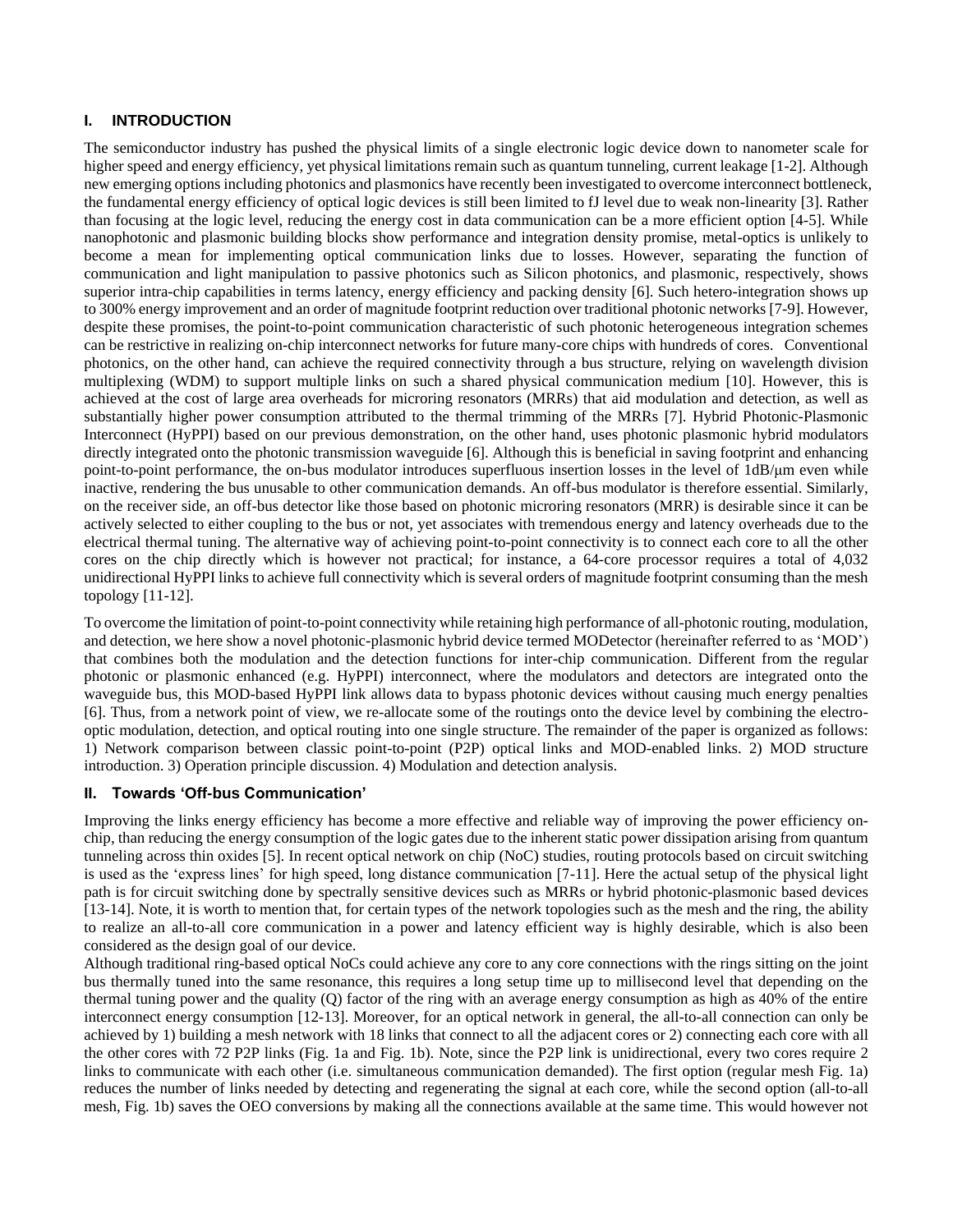# **I. INTRODUCTION**

The semiconductor industry has pushed the physical limits of a single electronic logic device down to nanometer scale for higher speed and energy efficiency, yet physical limitations remain such as quantum tunneling, current leakage [1-2]. Although new emerging options including photonics and plasmonics have recently been investigated to overcome interconnect bottleneck, the fundamental energy efficiency of optical logic devices is still been limited to fJ level due to weak non-linearity [3]. Rather than focusing at the logic level, reducing the energy cost in data communication can be a more efficient option [4-5]. While nanophotonic and plasmonic building blocks show performance and integration density promise, metal-optics is unlikely to become a mean for implementing optical communication links due to losses. However, separating the function of communication and light manipulation to passive photonics such as Silicon photonics, and plasmonic, respectively, shows superior intra-chip capabilities in terms latency, energy efficiency and packing density [6]. Such hetero-integration shows up to 300% energy improvement and an order of magnitude footprint reduction over traditional photonic networks [7-9]. However, despite these promises, the point-to-point communication characteristic of such photonic heterogeneous integration schemes can be restrictive in realizing on-chip interconnect networks for future many-core chips with hundreds of cores. Conventional photonics, on the other hand, can achieve the required connectivity through a bus structure, relying on wavelength division multiplexing (WDM) to support multiple links on such a shared physical communication medium [10]. However, this is achieved at the cost of large area overheads for microring resonators (MRRs) that aid modulation and detection, as well as substantially higher power consumption attributed to the thermal trimming of the MRRs [7]. Hybrid Photonic-Plasmonic Interconnect (HyPPI) based on our previous demonstration, on the other hand, uses photonic plasmonic hybrid modulators directly integrated onto the photonic transmission waveguide [6]. Although this is beneficial in saving footprint and enhancing point-to-point performance, the on-bus modulator introduces superfluous insertion losses in the level of 1dB/μm even while inactive, rendering the bus unusable to other communication demands. An off-bus modulator is therefore essential. Similarly, on the receiver side, an off-bus detector like those based on photonic microring resonators (MRR) is desirable since it can be actively selected to either coupling to the bus or not, yet associates with tremendous energy and latency overheads due to the electrical thermal tuning. The alternative way of achieving point-to-point connectivity is to connect each core to all the other cores on the chip directly which is however not practical; for instance, a 64-core processor requires a total of 4,032 unidirectional HyPPI links to achieve full connectivity which is several orders of magnitude footprint consuming than the mesh topology [11-12].

To overcome the limitation of point-to-point connectivity while retaining high performance of all-photonic routing, modulation, and detection, we here show a novel photonic-plasmonic hybrid device termed MODetector (hereinafter referred to as 'MOD') that combines both the modulation and the detection functions for inter-chip communication. Different from the regular photonic or plasmonic enhanced (e.g. HyPPI) interconnect, where the modulators and detectors are integrated onto the waveguide bus, this MOD-based HyPPI link allows data to bypass photonic devices without causing much energy penalties [6]. Thus, from a network point of view, we re-allocate some of the routings onto the device level by combining the electrooptic modulation, detection, and optical routing into one single structure. The remainder of the paper is organized as follows: 1) Network comparison between classic point-to-point (P2P) optical links and MOD-enabled links. 2) MOD structure introduction. 3) Operation principle discussion. 4) Modulation and detection analysis.

## **II. Towards 'Off-bus Communication'**

Improving the links energy efficiency has become a more effective and reliable way of improving the power efficiency onchip, than reducing the energy consumption of the logic gates due to the inherent static power dissipation arising from quantum tunneling across thin oxides [5]. In recent optical network on chip (NoC) studies, routing protocols based on circuit switching is used as the 'express lines' for high speed, long distance communication [7-11]. Here the actual setup of the physical light path is for circuit switching done by spectrally sensitive devices such as MRRs or hybrid photonic-plasmonic based devices [13-14]. Note, it is worth to mention that, for certain types of the network topologies such as the mesh and the ring, the ability to realize an all-to-all core communication in a power and latency efficient way is highly desirable, which is also been considered as the design goal of our device.

Although traditional ring-based optical NoCs could achieve any core to any core connections with the rings sitting on the joint bus thermally tuned into the same resonance, this requires a long setup time up to millisecond level that depending on the thermal tuning power and the quality (Q) factor of the ring with an average energy consumption as high as 40% of the entire interconnect energy consumption [12-13]. Moreover, for an optical network in general, the all-to-all connection can only be achieved by 1) building a mesh network with 18 links that connect to all the adjacent cores or 2) connecting each core with all the other cores with 72 P2P links (Fig. 1a and Fig. 1b). Note, since the P2P link is unidirectional, every two cores require 2 links to communicate with each other (i.e. simultaneous communication demanded). The first option (regular mesh Fig. 1a) reduces the number of links needed by detecting and regenerating the signal at each core, while the second option (all-to-all mesh, Fig. 1b) saves the OEO conversions by making all the connections available at the same time. This would however not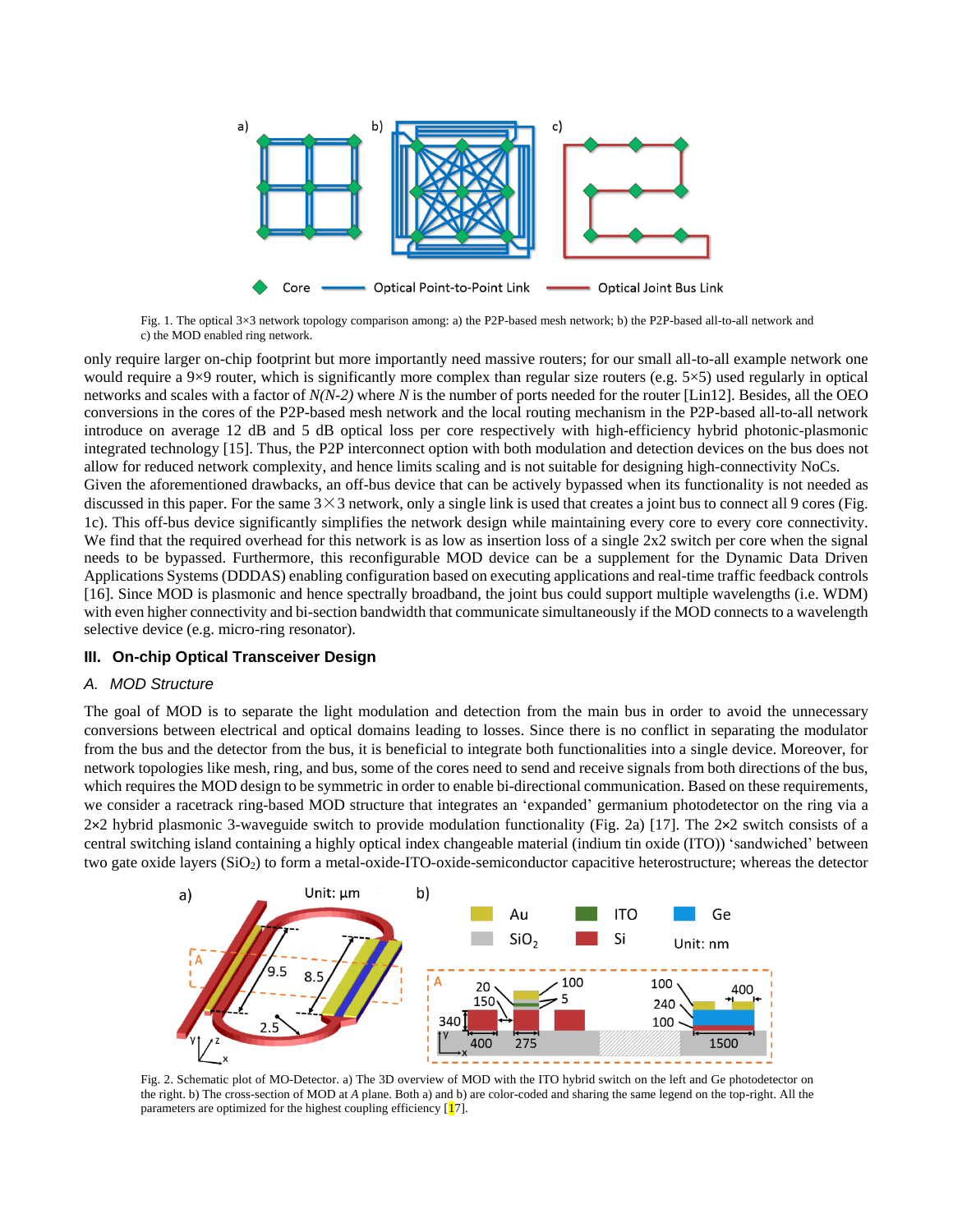

Fig. 1. The optical 3×3 network topology comparison among: a) the P2P-based mesh network; b) the P2P-based all-to-all network and c) the MOD enabled ring network.

only require larger on-chip footprint but more importantly need massive routers; for our small all-to-all example network one would require a 9 $\times$ 9 router, which is significantly more complex than regular size routers (e.g. 5 $\times$ 5) used regularly in optical networks and scales with a factor of *N(N-2)* where *N* is the number of ports needed for the router [Lin12]. Besides, all the OEO conversions in the cores of the P2P-based mesh network and the local routing mechanism in the P2P-based all-to-all network introduce on average 12 dB and 5 dB optical loss per core respectively with high-efficiency hybrid photonic-plasmonic integrated technology [15]. Thus, the P2P interconnect option with both modulation and detection devices on the bus does not allow for reduced network complexity, and hence limits scaling and is not suitable for designing high-connectivity NoCs. Given the aforementioned drawbacks, an off-bus device that can be actively bypassed when its functionality is not needed as discussed in this paper. For the same  $3 \times 3$  network, only a single link is used that creates a joint bus to connect all 9 cores (Fig. 1c). This off-bus device significantly simplifies the network design while maintaining every core to every core connectivity. We find that the required overhead for this network is as low as insertion loss of a single  $2x2$  switch per core when the signal needs to be bypassed. Furthermore, this reconfigurable MOD device can be a supplement for the Dynamic Data Driven Applications Systems (DDDAS) enabling configuration based on executing applications and real-time traffic feedback controls [16]. Since MOD is plasmonic and hence spectrally broadband, the joint bus could support multiple wavelengths (i.e. WDM) with even higher connectivity and bi-section bandwidth that communicate simultaneously if the MOD connects to a wavelength selective device (e.g. micro-ring resonator).

## **III. On-chip Optical Transceiver Design**

## *A. MOD Structure*

The goal of MOD is to separate the light modulation and detection from the main bus in order to avoid the unnecessary conversions between electrical and optical domains leading to losses. Since there is no conflict in separating the modulator from the bus and the detector from the bus, it is beneficial to integrate both functionalities into a single device. Moreover, for network topologies like mesh, ring, and bus, some of the cores need to send and receive signals from both directions of the bus, which requires the MOD design to be symmetric in order to enable bi-directional communication. Based on these requirements, we consider a racetrack ring-based MOD structure that integrates an 'expanded' germanium photodetector on the ring via a 2×2 hybrid plasmonic 3-waveguide switch to provide modulation functionality (Fig. 2a) [17]. The 2×2 switch consists of a central switching island containing a highly optical index changeable material (indium tin oxide (ITO)) 'sandwiched' between two gate oxide layers (SiO2) to form a metal-oxide-ITO-oxide-semiconductor capacitive heterostructure; whereas the detector



Fig. 2. Schematic plot of MO-Detector. a) The 3D overview of MOD with the ITO hybrid switch on the left and Ge photodetector on the right. b) The cross-section of MOD at *A* plane. Both a) and b) are color-coded and sharing the same legend on the top-right. All the parameters are optimized for the highest coupling efficiency  $[17]$ .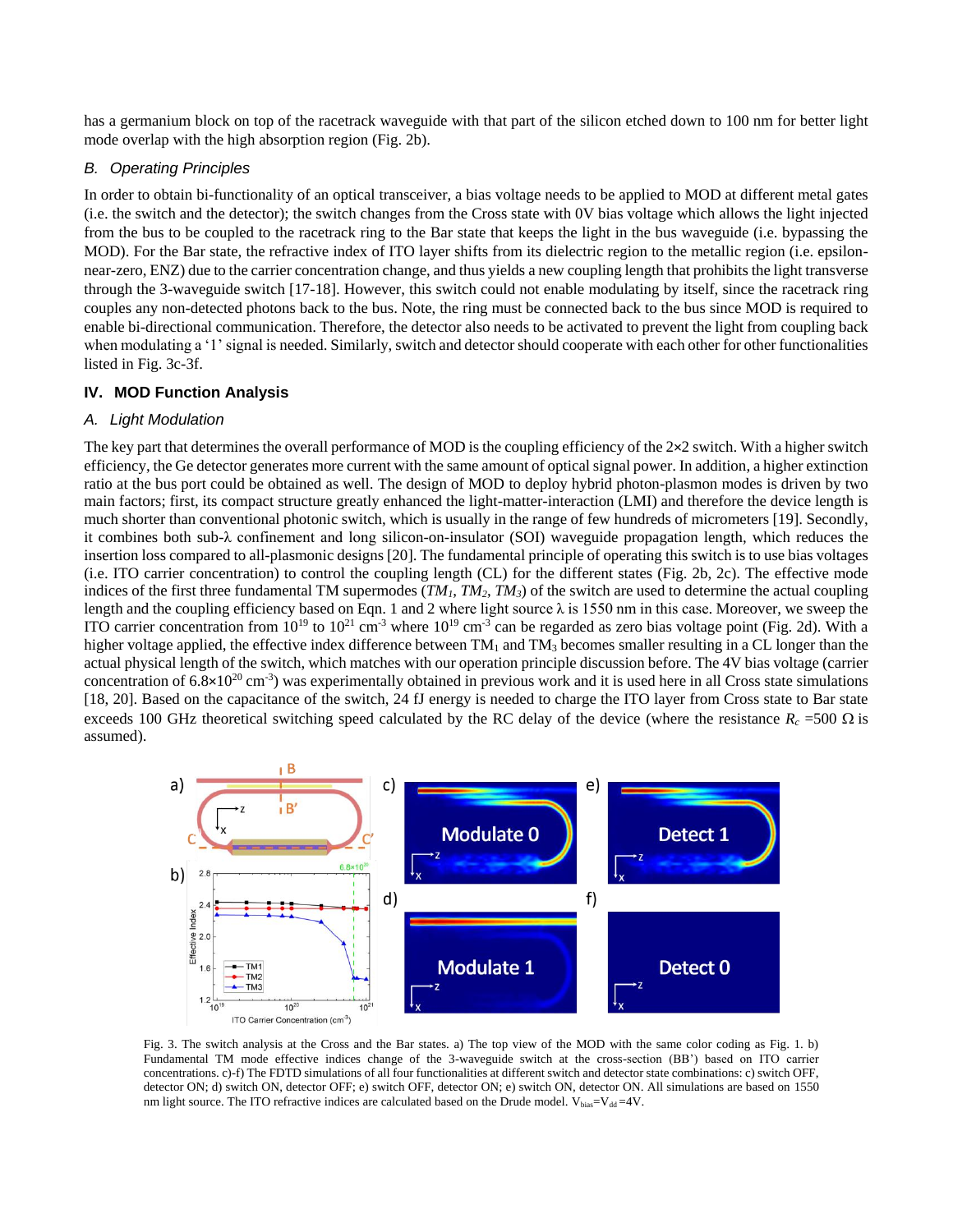has a germanium block on top of the racetrack waveguide with that part of the silicon etched down to 100 nm for better light mode overlap with the high absorption region (Fig. 2b).

#### *B. Operating Principles*

In order to obtain bi-functionality of an optical transceiver, a bias voltage needs to be applied to MOD at different metal gates (i.e. the switch and the detector); the switch changes from the Cross state with 0V bias voltage which allows the light injected from the bus to be coupled to the racetrack ring to the Bar state that keeps the light in the bus waveguide (i.e. bypassing the MOD). For the Bar state, the refractive index of ITO layer shifts from its dielectric region to the metallic region (i.e. epsilonnear-zero, ENZ) due to the carrier concentration change, and thus yields a new coupling length that prohibits the light transverse through the 3-waveguide switch [17-18]. However, this switch could not enable modulating by itself, since the racetrack ring couples any non-detected photons back to the bus. Note, the ring must be connected back to the bus since MOD is required to enable bi-directional communication. Therefore, the detector also needs to be activated to prevent the light from coupling back when modulating a '1' signal is needed. Similarly, switch and detector should cooperate with each other for other functionalities listed in Fig. 3c-3f.

## **IV. MOD Function Analysis**

# *A. Light Modulation*

The key part that determines the overall performance of MOD is the coupling efficiency of the  $2\times 2$  switch. With a higher switch efficiency, the Ge detector generates more current with the same amount of optical signal power. In addition, a higher extinction ratio at the bus port could be obtained as well. The design of MOD to deploy hybrid photon-plasmon modes is driven by two main factors; first, its compact structure greatly enhanced the light-matter-interaction (LMI) and therefore the device length is much shorter than conventional photonic switch, which is usually in the range of few hundreds of micrometers [19]. Secondly, it combines both sub-λ confinement and long silicon-on-insulator (SOI) waveguide propagation length, which reduces the insertion loss compared to all-plasmonic designs [20]. The fundamental principle of operating this switch is to use bias voltages (i.e. ITO carrier concentration) to control the coupling length (CL) for the different states (Fig. 2b, 2c). The effective mode indices of the first three fundamental TM supermodes  $(TM_I, TM_2, TM_3)$  of the switch are used to determine the actual coupling length and the coupling efficiency based on Eqn. 1 and 2 where light source λ is 1550 nm in this case. Moreover, we sweep the ITO carrier concentration from  $10^{19}$  to  $10^{21}$  cm<sup>-3</sup> where  $10^{19}$  cm<sup>-3</sup> can be regarded as zero bias voltage point (Fig. 2d). With a higher voltage applied, the effective index difference between  $TM_1$  and  $TM_3$  becomes smaller resulting in a CL longer than the actual physical length of the switch, which matches with our operation principle discussion before. The 4V bias voltage (carrier concentration of  $6.8 \times 10^{20}$  cm<sup>-3</sup>) was experimentally obtained in previous work and it is used here in all Cross state simulations [18, 20]. Based on the capacitance of the switch, 24 fJ energy is needed to charge the ITO layer from Cross state to Bar state exceeds 100 GHz theoretical switching speed calculated by the RC delay of the device (where the resistance  $R_c$  =500  $\Omega$  is assumed).



Fig. 3. The switch analysis at the Cross and the Bar states. a) The top view of the MOD with the same color coding as Fig. 1. b) Fundamental TM mode effective indices change of the 3-waveguide switch at the cross-section (BB') based on ITO carrier concentrations. c)-f) The FDTD simulations of all four functionalities at different switch and detector state combinations: c) switch OFF, detector ON; d) switch ON, detector OFF; e) switch OFF, detector ON; e) switch ON, detector ON. All simulations are based on 1550 nm light source. The ITO refractive indices are calculated based on the Drude model.  $V_{bias}=V_{dd} = 4V$ .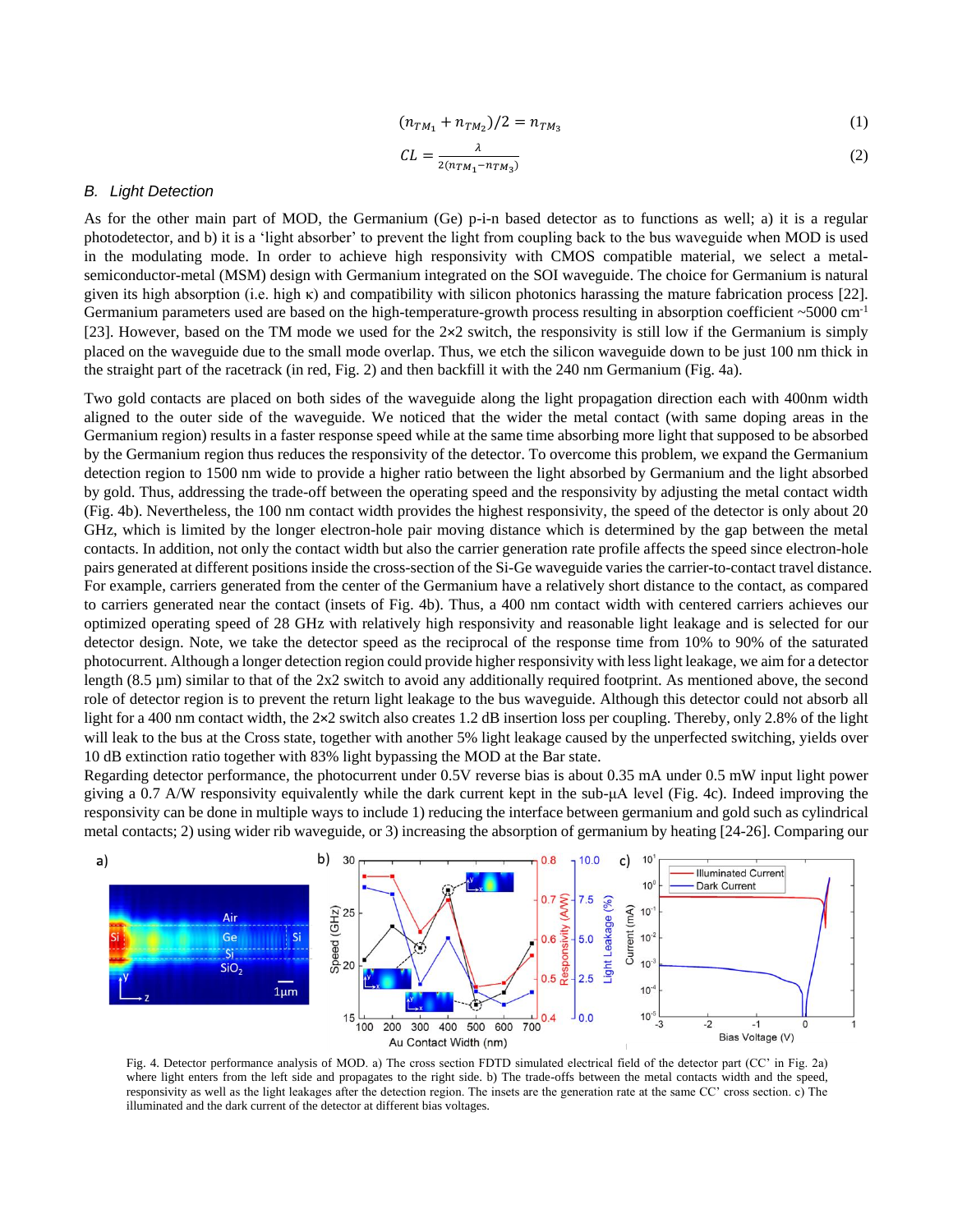$$
(n_{TM_1} + n_{TM_2})/2 = n_{TM_3}
$$
 (1)

$$
CL = \frac{\lambda}{2(n_{TM_1} - n_{TM_3})}
$$
 (2)

#### *B. Light Detection*

As for the other main part of MOD, the Germanium (Ge) p-i-n based detector as to functions as well; a) it is a regular photodetector, and b) it is a 'light absorber' to prevent the light from coupling back to the bus waveguide when MOD is used in the modulating mode. In order to achieve high responsivity with CMOS compatible material, we select a metalsemiconductor-metal (MSM) design with Germanium integrated on the SOI waveguide. The choice for Germanium is natural given its high absorption (i.e. high κ) and compatibility with silicon photonics harassing the mature fabrication process [22]. Germanium parameters used are based on the high-temperature-growth process resulting in absorption coefficient ~5000 cm<sup>-1</sup> [23]. However, based on the TM mode we used for the 2×2 switch, the responsivity is still low if the Germanium is simply placed on the waveguide due to the small mode overlap. Thus, we etch the silicon waveguide down to be just 100 nm thick in the straight part of the racetrack (in red, Fig. 2) and then backfill it with the 240 nm Germanium (Fig. 4a).

Two gold contacts are placed on both sides of the waveguide along the light propagation direction each with 400nm width aligned to the outer side of the waveguide. We noticed that the wider the metal contact (with same doping areas in the Germanium region) results in a faster response speed while at the same time absorbing more light that supposed to be absorbed by the Germanium region thus reduces the responsivity of the detector. To overcome this problem, we expand the Germanium detection region to 1500 nm wide to provide a higher ratio between the light absorbed by Germanium and the light absorbed by gold. Thus, addressing the trade-off between the operating speed and the responsivity by adjusting the metal contact width (Fig. 4b). Nevertheless, the 100 nm contact width provides the highest responsivity, the speed of the detector is only about 20 GHz, which is limited by the longer electron-hole pair moving distance which is determined by the gap between the metal contacts. In addition, not only the contact width but also the carrier generation rate profile affects the speed since electron-hole pairs generated at different positions inside the cross-section of the Si-Ge waveguide varies the carrier-to-contact travel distance. For example, carriers generated from the center of the Germanium have a relatively short distance to the contact, as compared to carriers generated near the contact (insets of Fig. 4b). Thus, a 400 nm contact width with centered carriers achieves our optimized operating speed of 28 GHz with relatively high responsivity and reasonable light leakage and is selected for our detector design. Note, we take the detector speed as the reciprocal of the response time from 10% to 90% of the saturated photocurrent. Although a longer detection region could provide higher responsivity with less light leakage, we aim for a detector length (8.5 µm) similar to that of the 2x2 switch to avoid any additionally required footprint. As mentioned above, the second role of detector region is to prevent the return light leakage to the bus waveguide. Although this detector could not absorb all light for a 400 nm contact width, the 2×2 switch also creates 1.2 dB insertion loss per coupling. Thereby, only 2.8% of the light will leak to the bus at the Cross state, together with another 5% light leakage caused by the unperfected switching, yields over 10 dB extinction ratio together with 83% light bypassing the MOD at the Bar state.

Regarding detector performance, the photocurrent under 0.5V reverse bias is about 0.35 mA under 0.5 mW input light power giving a 0.7 A/W responsivity equivalently while the dark current kept in the sub-μA level (Fig. 4c). Indeed improving the responsivity can be done in multiple ways to include 1) reducing the interface between germanium and gold such as cylindrical metal contacts; 2) using wider rib waveguide, or 3) increasing the absorption of germanium by heating [24-26]. Comparing our



Fig. 4. Detector performance analysis of MOD. a) The cross section FDTD simulated electrical field of the detector part (CC' in Fig. 2a) where light enters from the left side and propagates to the right side. b) The trade-offs between the metal contacts width and the speed, responsivity as well as the light leakages after the detection region. The insets are the generation rate at the same CC' cross section. c) The illuminated and the dark current of the detector at different bias voltages.